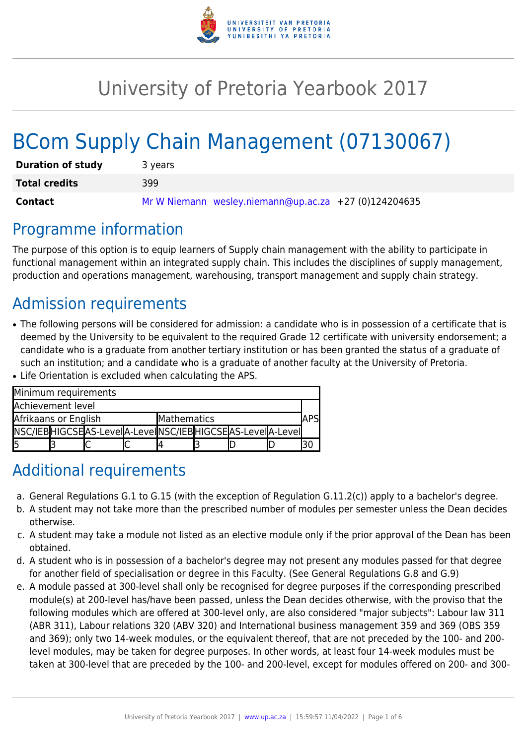

# University of Pretoria Yearbook 2017

# BCom Supply Chain Management (07130067)

| <b>Duration of study</b> | 3 years                                               |
|--------------------------|-------------------------------------------------------|
| <b>Total credits</b>     | 399                                                   |
| Contact                  | Mr W Niemann wesley.niemann@up.ac.za +27 (0)124204635 |

### Programme information

The purpose of this option is to equip learners of Supply chain management with the ability to participate in functional management within an integrated supply chain. This includes the disciplines of supply management, production and operations management, warehousing, transport management and supply chain strategy.

# Admission requirements

• The following persons will be considered for admission: a candidate who is in possession of a certificate that is deemed by the University to be equivalent to the required Grade 12 certificate with university endorsement; a candidate who is a graduate from another tertiary institution or has been granted the status of a graduate of such an institution; and a candidate who is a graduate of another faculty at the University of Pretoria. ● Life Orientation is excluded when calculating the APS.

| Minimum requirements |  |  |                                                          |             |  |  |  |     |  |  |  |
|----------------------|--|--|----------------------------------------------------------|-------------|--|--|--|-----|--|--|--|
| Achievement level    |  |  |                                                          |             |  |  |  |     |  |  |  |
| Afrikaans or English |  |  |                                                          | Mathematics |  |  |  | APS |  |  |  |
|                      |  |  | NSC/IEBHIGCSEAS-LevelA-LevelNSC/IEBHIGCSEAS-LevelA-Level |             |  |  |  |     |  |  |  |
|                      |  |  |                                                          |             |  |  |  |     |  |  |  |

# Additional requirements

- a. General Regulations G.1 to G.15 (with the exception of Regulation G.11.2(c)) apply to a bachelor's degree.
- b. A student may not take more than the prescribed number of modules per semester unless the Dean decides otherwise.
- c. A student may take a module not listed as an elective module only if the prior approval of the Dean has been obtained.
- d. A student who is in possession of a bachelor's degree may not present any modules passed for that degree for another field of specialisation or degree in this Faculty. (See General Regulations G.8 and G.9)
- e. A module passed at 300-level shall only be recognised for degree purposes if the corresponding prescribed module(s) at 200-level has/have been passed, unless the Dean decides otherwise, with the proviso that the following modules which are offered at 300-level only, are also considered "major subjects": Labour law 311 (ABR 311), Labour relations 320 (ABV 320) and International business management 359 and 369 (OBS 359 and 369); only two 14-week modules, or the equivalent thereof, that are not preceded by the 100- and 200 level modules, may be taken for degree purposes. In other words, at least four 14-week modules must be taken at 300-level that are preceded by the 100- and 200-level, except for modules offered on 200- and 300-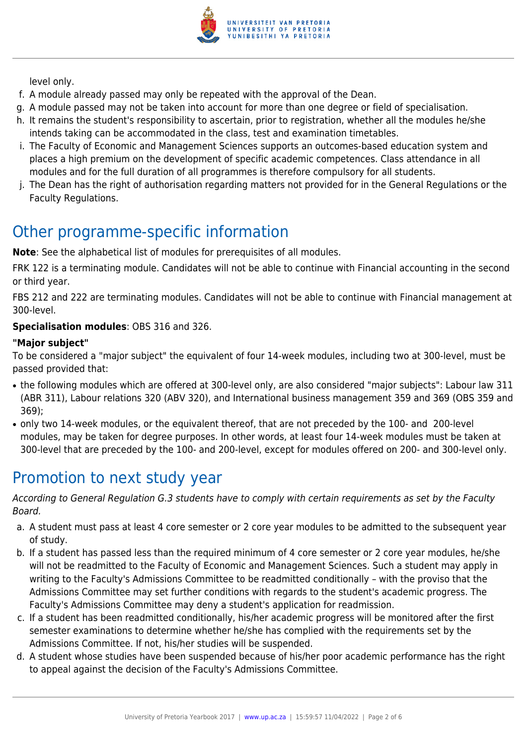

level only.

- f. A module already passed may only be repeated with the approval of the Dean.
- g. A module passed may not be taken into account for more than one degree or field of specialisation.
- h. It remains the student's responsibility to ascertain, prior to registration, whether all the modules he/she intends taking can be accommodated in the class, test and examination timetables.
- i. The Faculty of Economic and Management Sciences supports an outcomes-based education system and places a high premium on the development of specific academic competences. Class attendance in all modules and for the full duration of all programmes is therefore compulsory for all students.
- j. The Dean has the right of authorisation regarding matters not provided for in the General Regulations or the Faculty Regulations.

# Other programme-specific information

**Note**: See the alphabetical list of modules for prerequisites of all modules.

FRK 122 is a terminating module. Candidates will not be able to continue with Financial accounting in the second or third year.

FBS 212 and 222 are terminating modules. Candidates will not be able to continue with Financial management at 300-level.

#### **Specialisation modules**: OBS 316 and 326.

#### **"Major subject"**

To be considered a "major subject" the equivalent of four 14-week modules, including two at 300-level, must be passed provided that:

- the following modules which are offered at 300-level only, are also considered "major subjects": Labour law 311 (ABR 311), Labour relations 320 (ABV 320), and International business management 359 and 369 (OBS 359 and 369);
- only two 14-week modules, or the equivalent thereof, that are not preceded by the 100- and 200-level modules, may be taken for degree purposes. In other words, at least four 14-week modules must be taken at 300-level that are preceded by the 100- and 200-level, except for modules offered on 200- and 300-level only.

### Promotion to next study year

According to General Regulation G.3 students have to comply with certain requirements as set by the Faculty Board.

- a. A student must pass at least 4 core semester or 2 core year modules to be admitted to the subsequent year of study.
- b. If a student has passed less than the required minimum of 4 core semester or 2 core year modules, he/she will not be readmitted to the Faculty of Economic and Management Sciences. Such a student may apply in writing to the Faculty's Admissions Committee to be readmitted conditionally – with the proviso that the Admissions Committee may set further conditions with regards to the student's academic progress. The Faculty's Admissions Committee may deny a student's application for readmission.
- c. If a student has been readmitted conditionally, his/her academic progress will be monitored after the first semester examinations to determine whether he/she has complied with the requirements set by the Admissions Committee. If not, his/her studies will be suspended.
- d. A student whose studies have been suspended because of his/her poor academic performance has the right to appeal against the decision of the Faculty's Admissions Committee.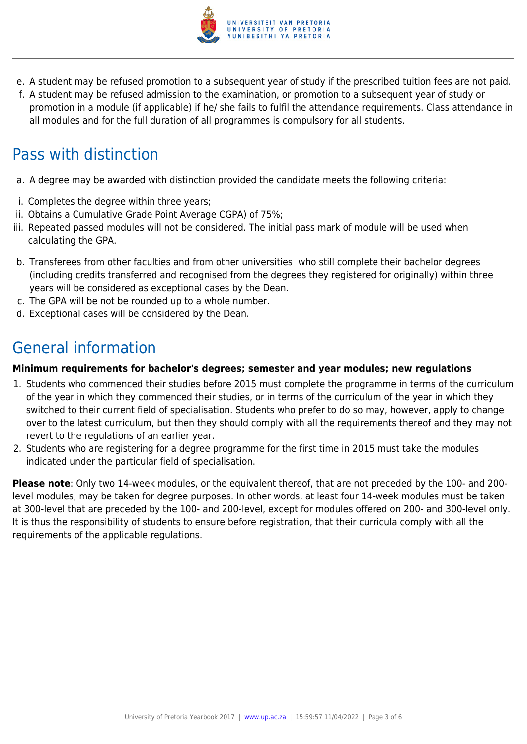

- e. A student may be refused promotion to a subsequent year of study if the prescribed tuition fees are not paid.
- f. A student may be refused admission to the examination, or promotion to a subsequent year of study or promotion in a module (if applicable) if he/ she fails to fulfil the attendance requirements. Class attendance in all modules and for the full duration of all programmes is compulsory for all students.

# Pass with distinction

- a. A degree may be awarded with distinction provided the candidate meets the following criteria:
- i. Completes the degree within three years;
- ii. Obtains a Cumulative Grade Point Average CGPA) of 75%;
- iii. Repeated passed modules will not be considered. The initial pass mark of module will be used when calculating the GPA.
- b. Transferees from other faculties and from other universities who still complete their bachelor degrees (including credits transferred and recognised from the degrees they registered for originally) within three years will be considered as exceptional cases by the Dean.
- c. The GPA will be not be rounded up to a whole number.
- d. Exceptional cases will be considered by the Dean.

## General information

#### **Minimum requirements for bachelor's degrees; semester and year modules; new regulations**

- 1. Students who commenced their studies before 2015 must complete the programme in terms of the curriculum of the year in which they commenced their studies, or in terms of the curriculum of the year in which they switched to their current field of specialisation. Students who prefer to do so may, however, apply to change over to the latest curriculum, but then they should comply with all the requirements thereof and they may not revert to the regulations of an earlier year.
- 2. Students who are registering for a degree programme for the first time in 2015 must take the modules indicated under the particular field of specialisation.

**Please note**: Only two 14-week modules, or the equivalent thereof, that are not preceded by the 100- and 200 level modules, may be taken for degree purposes. In other words, at least four 14-week modules must be taken at 300-level that are preceded by the 100- and 200-level, except for modules offered on 200- and 300-level only. It is thus the responsibility of students to ensure before registration, that their curricula comply with all the requirements of the applicable regulations.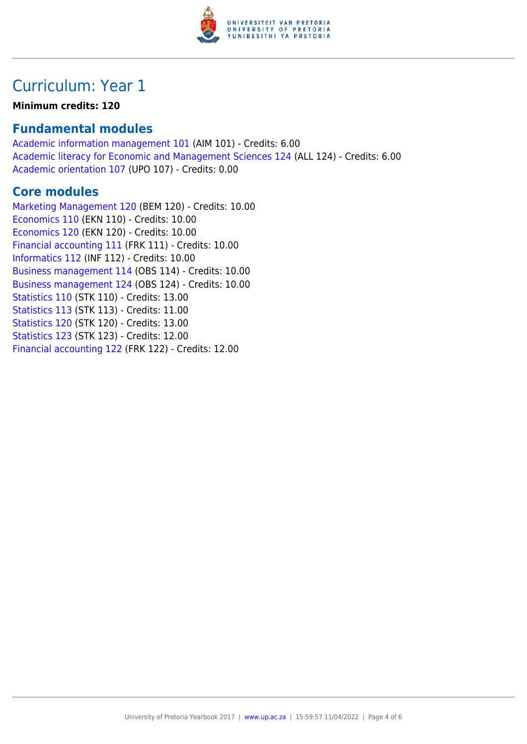

### Curriculum: Year 1

#### **Minimum credits: 120**

#### **Fundamental modules**

[Academic information management 101](https://www.up.ac.za/yearbooks/2017/modules/view/AIM 101) (AIM 101) - Credits: 6.00 [Academic literacy for Economic and Management Sciences 124](https://www.up.ac.za/yearbooks/2017/modules/view/ALL 124) (ALL 124) - Credits: 6.00 [Academic orientation 107](https://www.up.ac.za/yearbooks/2017/modules/view/UPO 107) (UPO 107) - Credits: 0.00

#### **Core modules**

[Marketing Management 120](https://www.up.ac.za/yearbooks/2017/modules/view/BEM 120) (BEM 120) - Credits: 10.00 [Economics 110](https://www.up.ac.za/yearbooks/2017/modules/view/EKN 110) (EKN 110) - Credits: 10.00 [Economics 120](https://www.up.ac.za/yearbooks/2017/modules/view/EKN 120) (EKN 120) - Credits: 10.00 [Financial accounting 111](https://www.up.ac.za/yearbooks/2017/modules/view/FRK 111) (FRK 111) - Credits: 10.00 [Informatics 112](https://www.up.ac.za/yearbooks/2017/modules/view/INF 112) (INF 112) - Credits: 10.00 [Business management 114](https://www.up.ac.za/yearbooks/2017/modules/view/OBS 114) (OBS 114) - Credits: 10.00 [Business management 124](https://www.up.ac.za/yearbooks/2017/modules/view/OBS 124) (OBS 124) - Credits: 10.00 [Statistics 110](https://www.up.ac.za/yearbooks/2017/modules/view/STK 110) (STK 110) - Credits: 13.00 [Statistics 113](https://www.up.ac.za/yearbooks/2017/modules/view/STK 113) (STK 113) - Credits: 11.00 [Statistics 120](https://www.up.ac.za/yearbooks/2017/modules/view/STK 120) (STK 120) - Credits: 13.00 [Statistics 123](https://www.up.ac.za/yearbooks/2017/modules/view/STK 123) (STK 123) - Credits: 12.00 [Financial accounting 122](https://www.up.ac.za/yearbooks/2017/modules/view/FRK 122) (FRK 122) - Credits: 12.00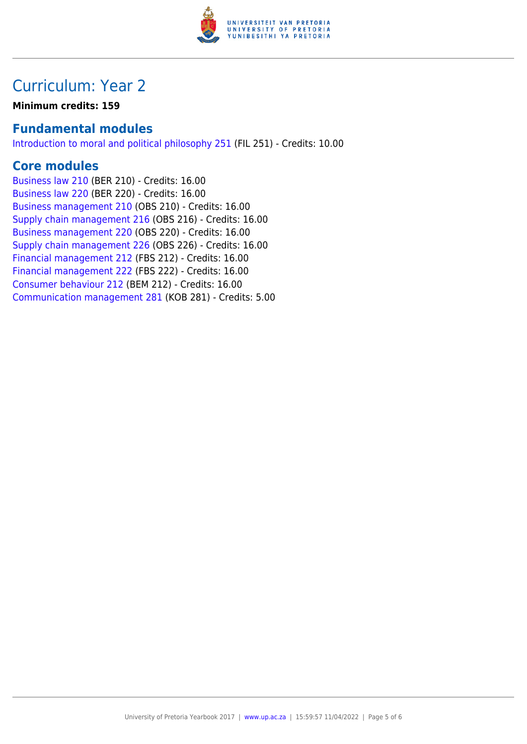

### Curriculum: Year 2

**Minimum credits: 159**

#### **Fundamental modules**

[Introduction to moral and political philosophy 251](https://www.up.ac.za/yearbooks/2017/modules/view/FIL 251) (FIL 251) - Credits: 10.00

#### **Core modules**

[Business law 210](https://www.up.ac.za/yearbooks/2017/modules/view/BER 210) (BER 210) - Credits: 16.00 [Business law 220](https://www.up.ac.za/yearbooks/2017/modules/view/BER 220) (BER 220) - Credits: 16.00 [Business management 210](https://www.up.ac.za/yearbooks/2017/modules/view/OBS 210) (OBS 210) - Credits: 16.00 [Supply chain management 216](https://www.up.ac.za/yearbooks/2017/modules/view/OBS 216) (OBS 216) - Credits: 16.00 [Business management 220](https://www.up.ac.za/yearbooks/2017/modules/view/OBS 220) (OBS 220) - Credits: 16.00 [Supply chain management 226](https://www.up.ac.za/yearbooks/2017/modules/view/OBS 226) (OBS 226) - Credits: 16.00 [Financial management 212](https://www.up.ac.za/yearbooks/2017/modules/view/FBS 212) (FBS 212) - Credits: 16.00 [Financial management 222](https://www.up.ac.za/yearbooks/2017/modules/view/FBS 222) (FBS 222) - Credits: 16.00 [Consumer behaviour 212](https://www.up.ac.za/yearbooks/2017/modules/view/BEM 212) (BEM 212) - Credits: 16.00 [Communication management 281](https://www.up.ac.za/yearbooks/2017/modules/view/KOB 281) (KOB 281) - Credits: 5.00